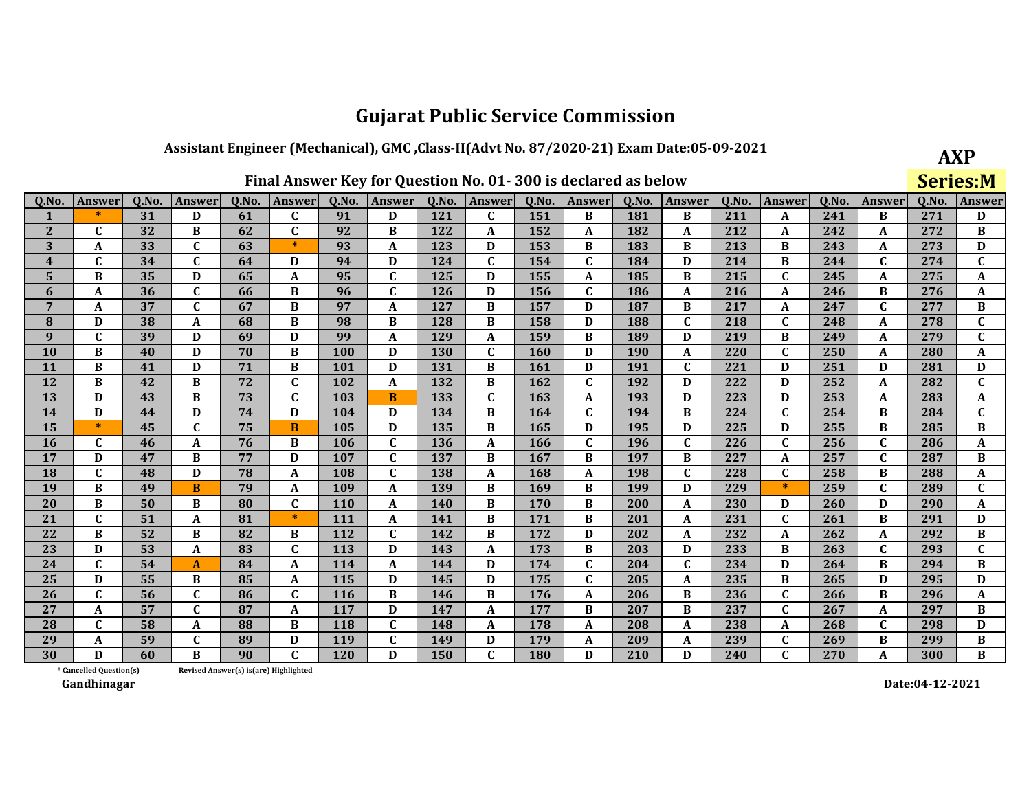## Assistant Engineer (Mechanical), GMC, Class-II(Advt No. 87/2020-21) Exam Date:05-09-2021

**AXP** Series:M

| Q.No.                   | Answer                  | Q.No. | <b>Answer</b>    | Q.No.                                 | <b>Answer</b> | Q.No.      | Answer       | Q.No.      | Answer       | Q.No.      | <b>Answer</b> | Q.No.      | Answer       | Q.No. | <b>Answer</b> | Q.No. | <b>Answer</b> | Q.No. | <b>Answer</b> |
|-------------------------|-------------------------|-------|------------------|---------------------------------------|---------------|------------|--------------|------------|--------------|------------|---------------|------------|--------------|-------|---------------|-------|---------------|-------|---------------|
| 1                       | $\ast$                  | 31    | D                | 61                                    | C             | 91         | D            | 121        | $\mathbf{C}$ | 151        | B             | 181        | B            | 211   | A             | 241   | B             | 271   | D             |
| $\mathbf{2}$            | C                       | 32    | B                | 62                                    | $\mathbf{C}$  | 92         | B            | 122        | A            | 152        | A             | 182        | A            | 212   | A             | 242   | A             | 272   | B             |
| 3                       | A                       | 33    | $\mathbf{C}$     | 63                                    | $\ast$        | 93         | A            | 123        | D            | 153        | B             | 183        | B            | 213   | B             | 243   | A             | 273   | D             |
| $\overline{\mathbf{4}}$ | $\mathbf{C}$            | 34    | $\mathbf C$      | 64                                    | D             | 94         | D            | 124        | $\mathbf{C}$ | 154        | $\mathbf{C}$  | 184        | D            | 214   | B             | 244   | $\mathbf{C}$  | 274   | $\mathbf{C}$  |
| 5                       | B                       | 35    | D                | 65                                    | A             | 95         | $\mathbf C$  | 125        | D            | 155        | A             | 185        | B            | 215   | $\mathbf{C}$  | 245   | A             | 275   | A             |
| 6                       | A                       | 36    | $\mathbf{C}$     | 66                                    | B             | 96         | $\mathbf C$  | 126        | D            | 156        | $\mathbf C$   | 186        | A            | 216   | A             | 246   | B             | 276   | A             |
| $\overline{7}$          | A                       | 37    | $\mathbf C$      | 67                                    | B             | 97         | $\mathbf A$  | 127        | B            | 157        | D             | 187        | B            | 217   | A             | 247   | $\mathbf{C}$  | 277   | В             |
| ${\bf 8}$               | D                       | 38    | A                | 68                                    | B             | 98         | B            | 128        | B            | 158        | D             | 188        | $\mathbf{C}$ | 218   | $\mathbf{C}$  | 248   | A             | 278   | $\mathbf{C}$  |
| $\boldsymbol{9}$        | $\mathbf{C}$            | 39    | D                | 69                                    | D             | 99         | A            | 129        | $\mathbf{A}$ | 159        | B             | 189        | D            | 219   | B             | 249   | A             | 279   | $\mathbf{C}$  |
| 10                      | B                       | 40    | D                | 70                                    | B             | 100        | D            | <b>130</b> | $\mathbf{C}$ | 160        | D             | <b>190</b> | A            | 220   | $\mathbf{C}$  | 250   | A             | 280   | A             |
| 11                      | B                       | 41    | D                | 71                                    | B             | 101        | D            | 131        | B            | 161        | D             | <b>191</b> | $\mathbf{C}$ | 221   | D             | 251   | D             | 281   | D             |
| 12                      | B                       | 42    | B                | 72                                    | $\mathbf{C}$  | 102        | $\mathbf{A}$ | 132        | B            | 162        | $\mathbf{C}$  | 192        | D            | 222   | D             | 252   | A             | 282   | $\mathbf{C}$  |
| 13                      | D                       | 43    | B                | 73                                    | $\mathbf{C}$  | 103        | B            | 133        | $\mathbf{C}$ | 163        | A             | 193        | D            | 223   | D             | 253   | A             | 283   | A             |
| 14                      | D                       | 44    | D                | 74                                    | D             | 104        | D            | 134        | B            | 164        | $\mathbf{C}$  | 194        | B            | 224   | $\mathbf{C}$  | 254   | B             | 284   | C             |
| 15                      | $\ast$                  | 45    | $\mathbf{C}$     | 75                                    | $\mathbf{B}$  | 105        | D            | 135        | B            | 165        | D             | 195        | D            | 225   | D             | 255   | B             | 285   | $\bf{B}$      |
| 16                      | $\mathbf{C}$            | 46    | A                | 76                                    | B             | 106        | $\mathbf C$  | 136        | A            | 166        | $\mathbf{C}$  | 196        | $\mathbf{C}$ | 226   | $\mathbf{C}$  | 256   | $\mathbf C$   | 286   | A             |
| 17                      | D                       | 47    | B                | 77                                    | D             | 107        | $\mathbf C$  | 137        | B            | 167        | B             | 197        | B            | 227   | A             | 257   | $\mathbf{C}$  | 287   | B             |
| 18                      | $\mathbf{C}$            | 48    | D                | 78                                    | A             | 108        | $\mathbf{C}$ | 138        | A            | 168        | A             | 198        | $\mathbf{C}$ | 228   | $\mathbf{C}$  | 258   | B             | 288   | A             |
| 19                      | B                       | 49    | B                | 79                                    | A             | 109        | $\mathbf A$  | 139        | B            | 169        | B             | 199        | D            | 229   | $\ast$        | 259   | C             | 289   | $\mathbf{C}$  |
| 20                      | B                       | 50    | B                | 80                                    | $\mathbf{C}$  | <b>110</b> | A            | 140        | B            | <b>170</b> | B             | 200        | A            | 230   | D             | 260   | D             | 290   | A             |
| 21                      | $\mathbf{C}$            | 51    | $\boldsymbol{A}$ | 81                                    | $\ast$        | 111        | $\mathbf A$  | 141        | B            | 171        | B             | 201        | A            | 231   | $\mathbf{C}$  | 261   | B             | 291   | D             |
| 22                      | B                       | 52    | B                | 82                                    | B             | 112        | $\mathbf C$  | 142        | B            | 172        | D             | 202        | $\mathbf{A}$ | 232   | A             | 262   | A             | 292   | B             |
| 23                      | D                       | 53    | A                | 83                                    | C             | <b>113</b> | D            | 143        | A            | 173        | B             | 203        | D            | 233   | B             | 263   | C             | 293   | C             |
| 24                      | $\mathbf{C}$            | 54    | $\mathbf{A}$     | 84                                    | A             | 114        | $\mathbf{A}$ | 144        | D            | 174        | $\mathbf C$   | 204        | $\mathbf{C}$ | 234   | D             | 264   | B             | 294   | B             |
| 25                      | D                       | 55    | B                | 85                                    | A             | 115        | D            | 145        | D            | 175        | $\mathbf C$   | 205        | A            | 235   | B             | 265   | D             | 295   | D             |
| 26                      | C                       | 56    | $\mathbf{C}$     | 86                                    | $\mathbf{C}$  | <b>116</b> | B            | 146        | B            | 176        | A             | 206        | B            | 236   | $\mathbf{C}$  | 266   | В             | 296   | A             |
| 27                      | A                       | 57    | $\mathbf{C}$     | 87                                    | $\mathbf{A}$  | 117        | D            | 147        | A            | 177        | B             | 207        | B            | 237   | $\mathbf C$   | 267   | A             | 297   | B             |
| 28                      | C                       | 58    | A                | 88                                    | B             | 118        | C            | 148        | A            | 178        | A             | 208        | A            | 238   | A             | 268   | C             | 298   | D             |
| 29                      | A                       | 59    | $\mathbf C$      | 89                                    | D             | 119        | $\mathbf{C}$ | 149        | D            | 179        | A             | 209        | A            | 239   | $\mathbf{C}$  | 269   | B             | 299   | B             |
| 30                      | D                       | 60    | B                | 90                                    | $\mathbf{C}$  | 120        | D            | 150        | $\mathbf{C}$ | 180        | D             | 210        | D            | 240   | $\mathbf{C}$  | 270   | A             | 300   | $\bf{B}$      |
|                         | * Cancelled Question(s) |       |                  | Revised Answer(s) is(are) Highlighted |               |            |              |            |              |            |               |            |              |       |               |       |               |       |               |

Revised Answer(s) is(are) Highlighted

Gandhinagar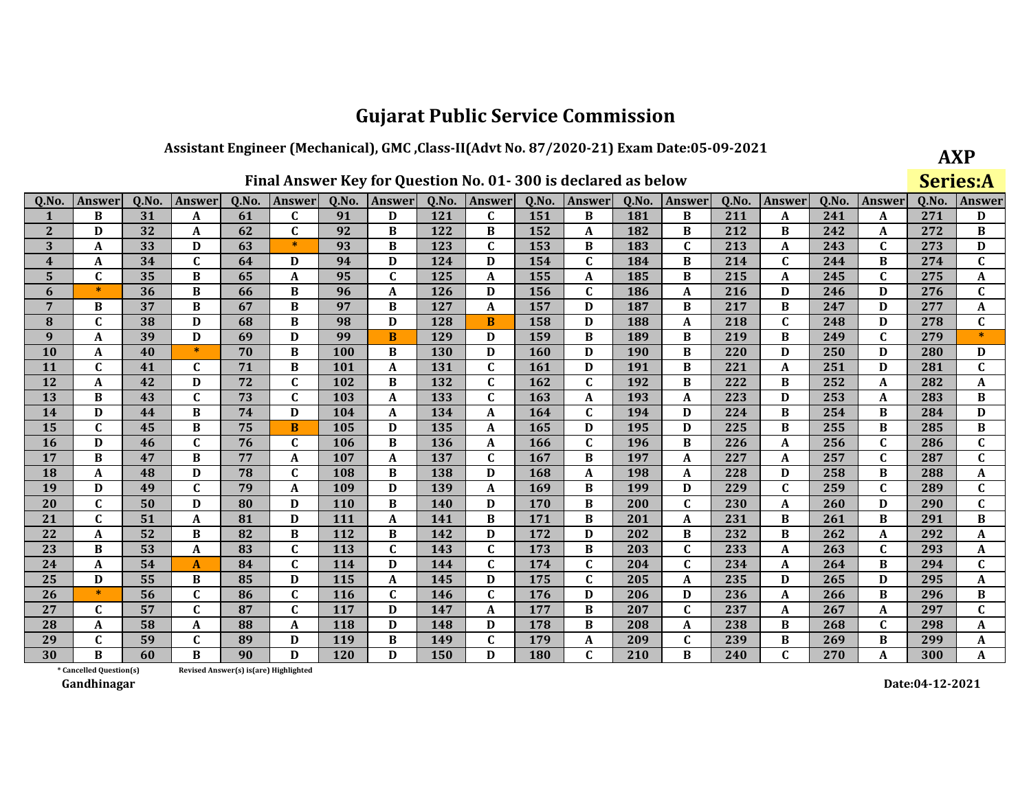## Assistant Engineer (Mechanical), GMC, Class-II(Advt No. 87/2020-21) Exam Date:05-09-2021

**AXP** Series:A

| 0.No.                   | Answer                  | 0.No. | Answer       | 0.No. | Answer                                | 0.No.      | <b>Answer</b> | 0.No.      | Answer       | 0.No.      | Answer       | 0.No. | Answer       | 0.No. | <b>Answer</b> | 0.No. | Answer       | 0.No. | <b>Answer</b>             |
|-------------------------|-------------------------|-------|--------------|-------|---------------------------------------|------------|---------------|------------|--------------|------------|--------------|-------|--------------|-------|---------------|-------|--------------|-------|---------------------------|
|                         | B                       | 31    | A            | 61    | $\mathbf{C}$                          | 91         | D             | 121        | C            | 151        | B            | 181   | B            | 211   | A             | 241   | A            | 271   | D                         |
| $\overline{2}$          | D                       | 32    | A            | 62    | C                                     | 92         | B             | 122        | B            | 152        | A            | 182   | B            | 212   | B             | 242   | A            | 272   | B                         |
| 3                       | A                       | 33    | D            | 63    | $\ast$                                | 93         | B             | 123        | $\mathbf{C}$ | 153        | B            | 183   | $\mathbf C$  | 213   | $\mathbf A$   | 243   | $\mathbf C$  | 273   | D                         |
| $\overline{\mathbf{4}}$ | A                       | 34    | $\mathbf{C}$ | 64    | D                                     | 94         | D             | 124        | D            | 154        | $\mathbf{C}$ | 184   | B            | 214   | $\mathbf C$   | 244   | B            | 274   | $\mathbf C$               |
| 5                       | $\mathbf C$             | 35    | B            | 65    | A                                     | 95         | $\mathbf C$   | 125        | A            | 155        | A            | 185   | B            | 215   | A             | 245   | $\mathbf C$  | 275   | A                         |
| 6                       | $\ast$                  | 36    | B            | 66    | B                                     | 96         | A             | 126        | D            | 156        | $\mathbf C$  | 186   | A            | 216   | D             | 246   | D            | 276   | $\mathbf C$               |
| $\overline{7}$          | B                       | 37    | $\bf{B}$     | 67    | B                                     | 97         | B             | 127        | A            | 157        | D            | 187   | B            | 217   | B             | 247   | D            | 277   | A                         |
| 8                       | C                       | 38    | D            | 68    | B                                     | 98         | D             | 128        | B            | 158        | D            | 188   | A            | 218   | C             | 248   | D            | 278   | $\mathbf{C}$              |
| 9                       | A                       | 39    | D            | 69    | D                                     | 99         | B             | 129        | D            | 159        | B            | 189   | B            | 219   | B             | 249   | $\mathbf{C}$ | 279   | $\ast$                    |
| 10                      | A                       | 40    | $\ast$       | 70    | B                                     | 100        | B             | 130        | D            | 160        | D            | 190   | B            | 220   | D             | 250   | D            | 280   | D                         |
| 11                      | $\mathbf C$             | 41    | C            | 71    | B                                     | <b>101</b> | A             | 131        | $\mathbf{C}$ | <b>161</b> | D            | 191   | B            | 221   | A             | 251   | D            | 281   | $\mathbf C$               |
| 12                      | A                       | 42    | D            | 72    | $\mathbf{C}$                          | 102        | B             | 132        | C            | 162        | $\mathbf C$  | 192   | B            | 222   | B             | 252   | A            | 282   | A                         |
| 13                      | B                       | 43    | $\mathbf{C}$ | 73    | $\mathbf{C}$                          | 103        | A             | 133        | $\mathbf{C}$ | 163        | A            | 193   | A            | 223   | D             | 253   | A            | 283   | $\bf{B}$                  |
| 14                      | D                       | 44    | B            | 74    | D                                     | 104        | A             | 134        | A            | 164        | C            | 194   | D            | 224   | B             | 254   | B            | 284   | D                         |
| 15                      | $\mathbf{C}$            | 45    | B            | 75    | B                                     | 105        | D             | 135        | A            | 165        | D            | 195   | D            | 225   | B             | 255   | B            | 285   | $\, {\bf B}$              |
| 16                      | D                       | 46    | $\mathbf{C}$ | 76    | $\mathbf{C}$                          | 106        | B             | 136        | A            | 166        | $\mathbf{C}$ | 196   | B            | 226   | A             | 256   | $\mathbf C$  | 286   | $\mathbf C$               |
| 17                      | B                       | 47    | B            | 77    | A                                     | 107        | A             | 137        | C            | 167        | B            | 197   | A            | 227   | A             | 257   | $\mathbf C$  | 287   | $\mathbf C$               |
| 18                      | A                       | 48    | D            | 78    | $\mathbf{C}$                          | 108        | B             | 138        | D            | 168        | $\mathbf{A}$ | 198   | A            | 228   | D             | 258   | B            | 288   | A                         |
| 19                      | D                       | 49    | $\mathbf{C}$ | 79    | A                                     | 109        | D             | 139        | A            | 169        | B            | 199   | D            | 229   | $\mathbf{C}$  | 259   | $\mathbf{C}$ | 289   | $\mathbf C$               |
| 20                      | $\mathbf C$             | 50    | D            | 80    | D                                     | 110        | B             | <b>140</b> | D            | 170        | B            | 200   | $\mathbf{C}$ | 230   | A             | 260   | D            | 290   | $\mathbf C$               |
| 21                      | $\mathbf{C}$            | 51    | A            | 81    | D                                     | 111        | $\mathbf{A}$  | 141        | B            | 171        | B            | 201   | A            | 231   | B             | 261   | B            | 291   | $\, {\bf B}$              |
| 22                      | A                       | 52    | B            | 82    | B                                     | 112        | B             | 142        | D            | 172        | D            | 202   | B            | 232   | B             | 262   | A            | 292   | $\boldsymbol{\mathsf{A}}$ |
| 23                      | B                       | 53    | A            | 83    | C                                     | 113        | C             | 143        | C            | 173        | B            | 203   | $\mathbf{C}$ | 233   | A             | 263   | C            | 293   | A                         |
| 24                      | A                       | 54    | $\mathbf{A}$ | 84    | $\mathbf{C}$                          | 114        | D             | 144        | $\mathbf{C}$ | 174        | $\mathbf C$  | 204   | $\mathbf C$  | 234   | A             | 264   | B            | 294   | $\mathbf C$               |
| 25                      | D                       | 55    | B            | 85    | D                                     | 115        | A             | 145        | D            | 175        | $\mathbf C$  | 205   | A            | 235   | D             | 265   | D            | 295   | A                         |
| 26                      | $\ast$                  | 56    | $\mathbf C$  | 86    | $\mathbf{C}$                          | 116        | $\mathbf C$   | 146        | $\mathbf{C}$ | 176        | D            | 206   | D            | 236   | A             | 266   | B            | 296   | B                         |
| 27                      | $\mathbf{C}$            | 57    | $\mathbf{C}$ | 87    | $\mathbf{C}$                          | 117        | D             | 147        | A            | 177        | B            | 207   | $\mathbf{C}$ | 237   | A             | 267   | A            | 297   | $\mathbf C$               |
| 28                      | A                       | 58    | A            | 88    | A                                     | 118        | D             | 148        | D            | 178        | B            | 208   | A            | 238   | B             | 268   | $\mathbf{C}$ | 298   | A                         |
| 29                      | $\mathbf{C}$            | 59    | $\mathbf C$  | 89    | D                                     | 119        | B             | 149        | $\mathbf{C}$ | 179        | A            | 209   | $\mathbf C$  | 239   | B             | 269   | B            | 299   | A                         |
| 30                      | R                       | 60    | B            | 90    | D                                     | 120        | D             | 150        | D            | 180        | $\mathbf{C}$ | 210   | B            | 240   | $\mathbf{C}$  | 270   | A            | 300   | A                         |
|                         | * Cancelled Question(s) |       |              |       | Revised Answer(s) is(are) Highlighted |            |               |            |              |            |              |       |              |       |               |       |              |       |                           |

Revised Answer(s) is(are) Highlighted

Gandhinagar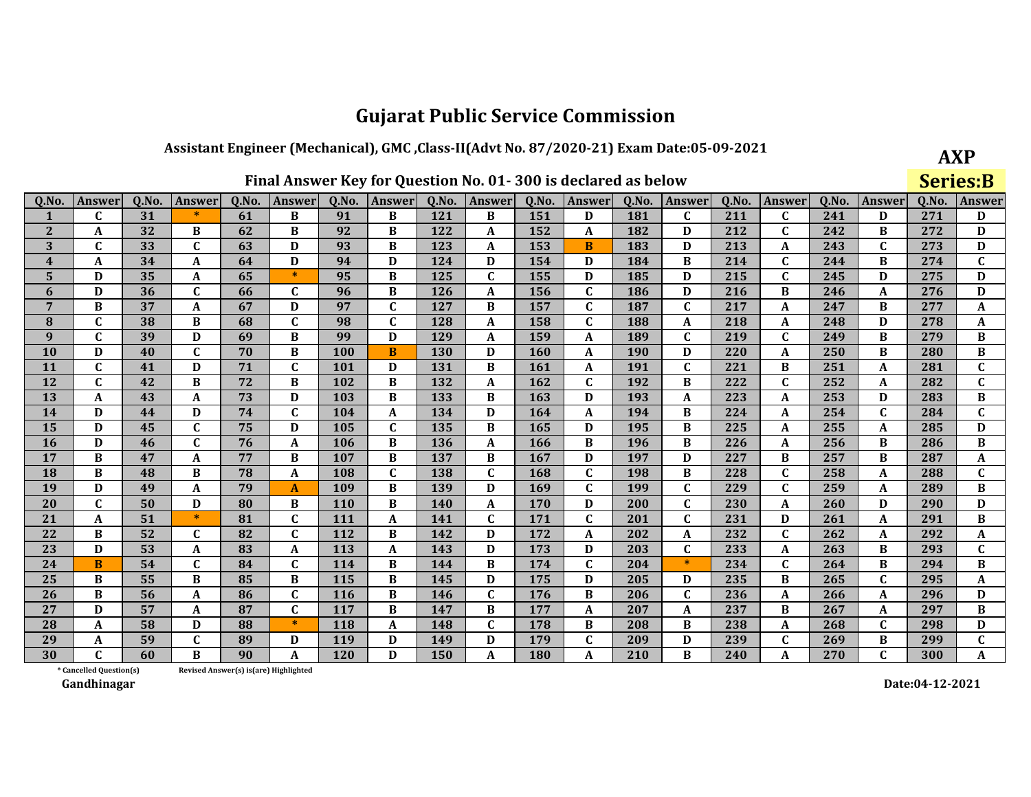## Assistant Engineer (Mechanical), GMC, Class-II(Advt No. 87/2020-21) Exam Date:05-09-2021

|  | Final Answer Key for Question No. 01-300 is declared as below |
|--|---------------------------------------------------------------|
|--|---------------------------------------------------------------|

**AXP Series:B** 

| Q.No.                   | <b>Answer</b>           | Q.No. | <b>Answer</b> | Q.No.                                 | <b>Answer</b> | 0.No.      | Answer       | Q.No.      | <b>Answer</b> | Q.No.      | <b>Answer</b> | Q.No.      | <b>Answer</b> | 0.No. | <b>Answer</b>    | Q.No. | <b>Answer</b> | Q.No. | Answer                    |
|-------------------------|-------------------------|-------|---------------|---------------------------------------|---------------|------------|--------------|------------|---------------|------------|---------------|------------|---------------|-------|------------------|-------|---------------|-------|---------------------------|
|                         | C                       | 31    | $\ast$        | 61                                    | B             | 91         | B            | 121        | B             | 151        | D             | 181        | $\mathbf{C}$  | 211   | C                | 241   | D             | 271   | D                         |
| $\mathbf{2}$            | A                       | 32    | B             | 62                                    | B             | 92         | B            | 122        | A             | 152        | A             | 182        | D             | 212   | $\mathbf C$      | 242   | B             | 272   | D                         |
| 3                       | C                       | 33    | $\mathbf{C}$  | 63                                    | D             | 93         | B            | 123        | A             | 153        | B             | 183        | D             | 213   | A                | 243   | C             | 273   | D                         |
| $\overline{\mathbf{4}}$ | A                       | 34    | A             | 64                                    | D             | 94         | D            | 124        | D             | 154        | D             | 184        | B             | 214   | $\mathbf{C}$     | 244   | B             | 274   | $\mathbf{C}$              |
| 5                       | D                       | 35    | A             | 65                                    | $\ast$        | 95         | B            | 125        | C             | 155        | D             | 185        | D             | 215   | $\mathbf C$      | 245   | D             | 275   | D                         |
| 6                       | D                       | 36    | $\mathbf C$   | 66                                    | $\mathbf{C}$  | 96         | B            | <b>126</b> | A             | 156        | $\mathbf C$   | 186        | D             | 216   | B                | 246   | A             | 276   | D                         |
| $\overline{7}$          | B                       | 37    | A             | 67                                    | D             | 97         | $\mathbf{C}$ | 127        | B             | 157        | $\mathbf{C}$  | 187        | $\mathbf{C}$  | 217   | $\boldsymbol{A}$ | 247   | B             | 277   | $\boldsymbol{\mathsf{A}}$ |
| 8                       | $\mathbf C$             | 38    | B             | 68                                    | $\mathbf C$   | 98         | $\mathbf C$  | 128        | A             | 158        | $\mathbf C$   | 188        | A             | 218   | A                | 248   | D             | 278   | A                         |
| 9                       | $\mathbf{C}$            | 39    | D             | 69                                    | B             | 99         | D            | 129        | A             | 159        | A             | 189        | $\mathbf{C}$  | 219   | $\mathbf C$      | 249   | В             | 279   | B                         |
| 10                      | D                       | 40    | $\mathbf{C}$  | 70                                    | B             | 100        | B            | <b>130</b> | D             | <b>160</b> | A             | <b>190</b> | D             | 220   | $\boldsymbol{A}$ | 250   | B             | 280   | $\, {\bf B}$              |
| 11                      | $\mathbf C$             | 41    | D             | 71                                    | $\mathbf C$   | 101        | D            | 131        | B             | 161        | A             | 191        | $\mathbf{C}$  | 221   | B                | 251   | A             | 281   | C                         |
| 12                      | $\mathbf{C}$            | 42    | B             | 72                                    | B             | 102        | B            | 132        | A             | 162        | $\mathbf{C}$  | 192        | B             | 222   | $\mathbf C$      | 252   | A             | 282   | $\mathbf C$               |
| 13                      | A                       | 43    | A             | 73                                    | D             | 103        | B            | 133        | B             | 163        | D             | 193        | A             | 223   | A                | 253   | D             | 283   | $\, {\bf B}$              |
| 14                      | D                       | 44    | D             | 74                                    | $\mathbf C$   | 104        | $\mathbf A$  | 134        | D             | 164        | A             | 194        | B             | 224   | A                | 254   | $\mathbf{C}$  | 284   | $\mathbf C$               |
| 15                      | D                       | 45    | C             | 75                                    | D             | 105        | $\mathbf C$  | 135        | B             | 165        | D             | 195        | B             | 225   | A                | 255   | A             | 285   | D                         |
| 16                      | D                       | 46    | $\mathbf{C}$  | 76                                    | A             | 106        | B            | 136        | A             | 166        | B             | 196        | B             | 226   | A                | 256   | B             | 286   | $\, {\bf B}$              |
| 17                      | B                       | 47    | A             | 77                                    | B             | 107        | B            | 137        | B             | 167        | D             | 197        | D             | 227   | B                | 257   | В             | 287   | A                         |
| 18                      | B                       | 48    | B             | 78                                    | $\mathbf{A}$  | 108        | $\mathbf C$  | 138        | $\mathbf{C}$  | 168        | $\mathbf{C}$  | 198        | B             | 228   | $\mathbf C$      | 258   | A             | 288   | $\mathbf C$               |
| 19                      | D                       | 49    | A             | 79                                    | A             | 109        | B            | 139        | D             | 169        | $\mathbf{C}$  | 199        | $\mathbf{C}$  | 229   | $\mathbf{C}$     | 259   | A             | 289   | $\, {\bf B}$              |
| 20                      | C                       | 50    | D             | 80                                    | B             | <b>110</b> | B            | 140        | A             | <b>170</b> | D             | 200        | $\mathbf{C}$  | 230   | A                | 260   | D             | 290   | D                         |
| 21                      | A                       | 51    | $\ast$        | 81                                    | $\mathbf{C}$  | 111        | $\mathbf A$  | 141        | $\mathbf{C}$  | 171        | $\mathbf{C}$  | 201        | $\mathbf{C}$  | 231   | D                | 261   | A             | 291   | $\, {\bf B}$              |
| 22                      | B                       | 52    | $\mathbf{C}$  | 82                                    | $\mathbf{C}$  | 112        | B            | 142        | D             | 172        | $\mathbf A$   | 202        | A             | 232   | $\mathbf C$      | 262   | A             | 292   | A                         |
| 23                      | D                       | 53    | A             | 83                                    | A             | 113        | A            | 143        | D             | 173        | D             | 203        | $\mathbf{C}$  | 233   | A                | 263   | B             | 293   | $\mathbf{C}$              |
| 24                      | <sub>B</sub>            | 54    | $\mathbf{C}$  | 84                                    | $\mathbf{C}$  | 114        | B            | 144        | B             | 174        | $\mathbf{C}$  | 204        | $\ast$        | 234   | $\mathbf C$      | 264   | B             | 294   | $\, {\bf B}$              |
| 25                      | B                       | 55    | B             | 85                                    | B             | 115        | B            | 145        | D             | 175        | D             | 205        | D             | 235   | B                | 265   | $\mathbf{C}$  | 295   | $\mathbf A$               |
| 26                      | B                       | 56    | A             | 86                                    | $\mathbf{C}$  | <b>116</b> | B            | 146        | C             | 176        | B             | 206        | C             | 236   | A                | 266   | A             | 296   | D                         |
| 27                      | D                       | 57    | A             | 87                                    | $\mathbf{C}$  | 117        | B            | 147        | B             | 177        | A             | 207        | A             | 237   | B                | 267   | A             | 297   | B                         |
| 28                      | A                       | 58    | D             | 88                                    | $\ast$        | 118        | A            | 148        | C             | 178        | B             | 208        | B             | 238   | A                | 268   | C             | 298   | D                         |
| 29                      | A                       | 59    | $\mathbf{C}$  | 89                                    | D             | 119        | D            | 149        | D             | 179        | $\mathbf{C}$  | 209        | D             | 239   | $\mathbf C$      | 269   | B             | 299   | $\mathbf{C}$              |
| 30                      |                         | 60    | B             | 90                                    | A             | 120        | D            | 150        | A             | 180        | A             | 210        | B             | 240   | A                | 270   | $\mathbf{C}$  | 300   | $\mathbf{A}$              |
|                         | * Cancelled Question(s) |       |               | Revised Answer(s) is(are) Highlighted |               |            |              |            |               |            |               |            |               |       |                  |       |               |       |                           |

Revised Answer(s) is(are) Highlighted

Gandhinagar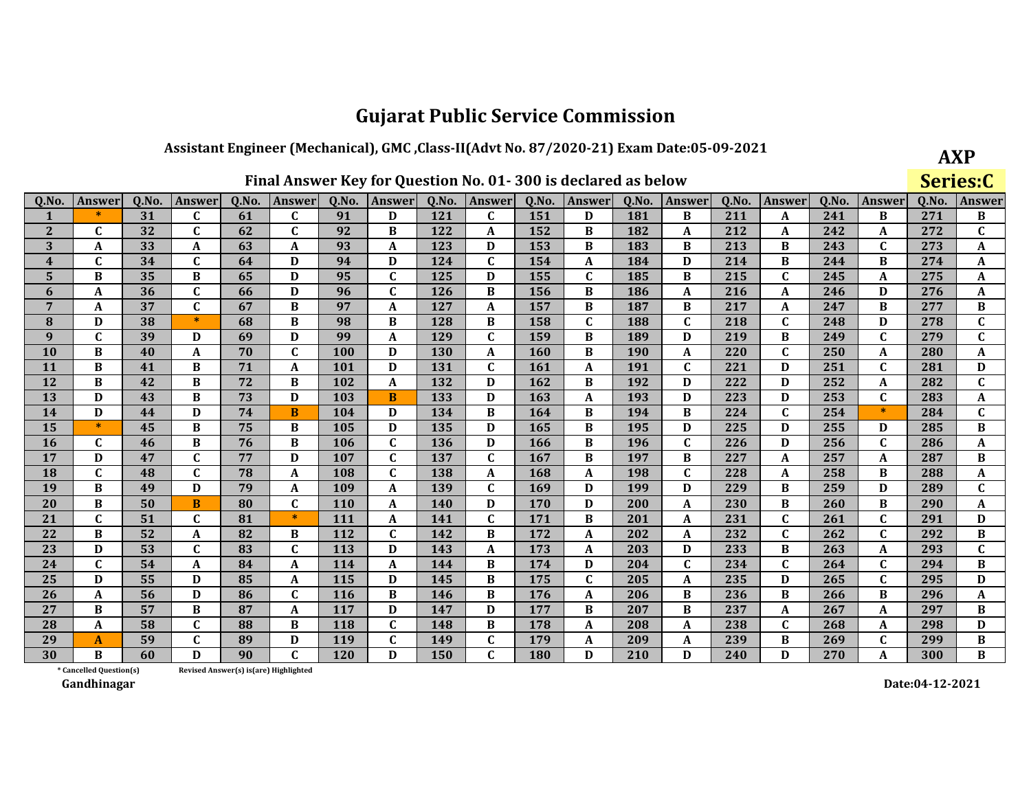#### Assistant Engineer (Mechanical), GMC, Class-II(Advt No. 87/2020-21) Exam Date:05-09-2021

| Final Answer Key for Question No. 01-300 is declared as below |  |
|---------------------------------------------------------------|--|
|---------------------------------------------------------------|--|

**AXP** Series:C

| Q.No.                   | <b>Answer</b> | 0.No. | <b>Answer</b> | Q.No. | <b>Answer</b> | Q.No.      | Answer       | 0.No.      | Answer       | Q.No. | Answer       | Q.No.      | <b>Answer</b> | Q.No. | Answer       | 0.No. | Answer       | Q.No. | <b>Answer</b> |
|-------------------------|---------------|-------|---------------|-------|---------------|------------|--------------|------------|--------------|-------|--------------|------------|---------------|-------|--------------|-------|--------------|-------|---------------|
| $\mathbf{1}$            | $\ast$        | 31    | C             | 61    | C             | 91         | D            | 121        | C            | 151   | D            | 181        | B             | 211   | A            | 241   | B            | 271   | В             |
| $\mathbf{2}$            | C             | 32    | $\mathbf C$   | 62    | $\mathbf C$   | 92         | B            | 122        | A            | 152   | B            | 182        | A             | 212   | A            | 242   | A            | 272   | $\mathbf{C}$  |
| 3                       | A             | 33    | A             | 63    | A             | 93         | A            | 123        | D            | 153   | B            | 183        | R             | 213   | B            | 243   | $\mathbf{C}$ | 273   | A             |
| $\overline{\mathbf{4}}$ | $\mathbf C$   | 34    | $\mathbf C$   | 64    | D             | 94         | D            | 124        | C            | 154   | A            | 184        | D             | 214   | B            | 244   | B            | 274   | A             |
| 5                       | B             | 35    | B             | 65    | D             | 95         | $\mathbf C$  | 125        | D            | 155   | C            | 185        | B             | 215   | $\mathbf{C}$ | 245   | A            | 275   | A             |
| 6                       | A             | 36    | $\mathbf{C}$  | 66    | D             | 96         | $\mathbf C$  | 126        | B            | 156   | B            | 186        | A             | 216   | $\mathbf{A}$ | 246   | D            | 276   | A             |
| $\overline{7}$          | A             | 37    | $\mathbf{C}$  | 67    | B             | 97         | A            | 127        | A            | 157   | B            | 187        | B             | 217   | A            | 247   | B            | 277   | B             |
| 8                       | D             | 38    | $\ast$        | 68    | B             | 98         | B            | 128        | B            | 158   | $\mathbf{C}$ | 188        | $\mathbf{C}$  | 218   | $\mathbf{C}$ | 248   | D            | 278   | $\mathbf{C}$  |
| 9                       | $\mathbf{C}$  | 39    | D             | 69    | D             | 99         | A            | 129        | $\mathbf C$  | 159   | B            | 189        | D             | 219   | B            | 249   | $\mathbf C$  | 279   | $\mathbf{C}$  |
| 10                      | B             | 40    | A             | 70    | $\mathbf{C}$  | <b>100</b> | D            | <b>130</b> | A            | 160   | B            | <b>190</b> | A             | 220   | $\mathbf C$  | 250   | A            | 280   | A             |
| 11                      | B             | 41    | <sub>R</sub>  | 71    | A             | 101        | D            | 131        | $\mathbf{C}$ | 161   | A            | 191        | $\mathbf{C}$  | 221   | D            | 251   | $\mathbf{C}$ | 281   | D             |
| 12                      | B             | 42    | B             | 72    | B             | 102        | $\mathbf A$  | 132        | D            | 162   | B            | 192        | D             | 222   | D            | 252   | A            | 282   | $\mathbf{C}$  |
| 13                      | D             | 43    | B             | 73    | D             | 103        | B            | 133        | D            | 163   | A            | 193        | D             | 223   | D            | 253   | $\mathbf{C}$ | 283   | A             |
| 14                      | D             | 44    | D             | 74    | B             | 104        | D            | 134        | B            | 164   | B            | 194        | B             | 224   | $\mathbf{C}$ | 254   | $\ast$       | 284   | $\mathbf{C}$  |
| 15                      | $\ast$        | 45    | B             | 75    | B             | 105        | D            | 135        | D            | 165   | B            | 195        | D             | 225   | D            | 255   | D            | 285   | $\bf{B}$      |
| 16                      | $\mathbf{C}$  | 46    | B             | 76    | B             | 106        | $\mathbf C$  | 136        | D            | 166   | <sub>R</sub> | 196        | $\mathbf{C}$  | 226   | D            | 256   | $\mathbf{C}$ | 286   | A             |
| 17                      | D             | 47    | $\mathbf C$   | 77    | D             | 107        | $\mathbf C$  | 137        | $\mathbf{C}$ | 167   | B            | 197        | B             | 227   | A            | 257   | A            | 287   | B             |
| 18                      | $\mathbf{C}$  | 48    | $\mathbf{C}$  | 78    | A             | 108        | $\mathbf C$  | 138        | A            | 168   | A            | 198        | $\mathbf{C}$  | 228   | A            | 258   | B            | 288   | A             |
| 19                      | B             | 49    | D             | 79    | A             | 109        | A            | 139        | $\mathbf{C}$ | 169   | D            | 199        | D             | 229   | B            | 259   | D            | 289   | $\mathbf{C}$  |
| 20                      | B             | 50    | B             | 80    | $\mathbf{C}$  | <b>110</b> | A            | 140        | D            | 170   | D            | 200        | A             | 230   | B            | 260   | B            | 290   | A             |
| 21                      | $\mathbf C$   | 51    | $\mathbf C$   | 81    | $\ast$        | 111        | $\mathbf{A}$ | 141        | $\mathbf{C}$ | 171   | B            | 201        | A             | 231   | $\mathbf C$  | 261   | $\mathbf{C}$ | 291   | D             |
| 22                      | B             | 52    | A             | 82    | B             | 112        | $\mathbf C$  | 142        | B            | 172   | A            | 202        | A             | 232   | $\mathbf C$  | 262   | $\mathbf{C}$ | 292   | B             |
| 23                      | D             | 53    | $\mathbf C$   | 83    | $\mathbf{C}$  | 113        | D            | 143        | A            | 173   | A            | 203        | D             | 233   | B            | 263   | A            | 293   | $\mathbf{C}$  |
| 24                      | $\mathbf{C}$  | 54    | A             | 84    | A             | 114        | A            | 144        | B            | 174   | D            | 204        | $\mathbf{C}$  | 234   | $\mathbf{C}$ | 264   | $\mathbf{C}$ | 294   | B             |
| 25                      | D             | 55    | D             | 85    | A             | 115        | D            | 145        | B            | 175   | C            | 205        | A             | 235   | D            | 265   | $\mathbf{C}$ | 295   | D             |
| 26                      | A             | 56    | D             | 86    | $\mathbf{C}$  | 116        | B            | 146        | B            | 176   | A            | 206        | B             | 236   | B            | 266   | B            | 296   | A             |
| 27                      | B             | 57    | B             | 87    | A             | 117        | D            | 147        | D            | 177   | B            | 207        | B             | 237   | A            | 267   | A            | 297   | B             |
| 28                      | A             | 58    | $\mathbf C$   | 88    | B             | 118        | $\mathbf{C}$ | 148        | B            | 178   | A            | 208        | A             | 238   | $\mathbf C$  | 268   | A            | 298   | D             |
| 29                      | A             | 59    | $\mathbf C$   | 89    | D             | 119        | $\mathbf{C}$ | 149        | $\mathbf{C}$ | 179   | A            | 209        | A             | 239   | B            | 269   | $\mathbf{C}$ | 299   | B             |
| 30                      | B             | 60    | D             | 90    | $\mathbf{C}$  | 120        | D            | 150        | $\mathbf{C}$ | 180   | D            | 210        | D             | 240   | D            | 270   | A            | 300   | B             |

\* Cancelled Question(s) Revised Answer(s) is(are) Highlighted

Gandhinagar